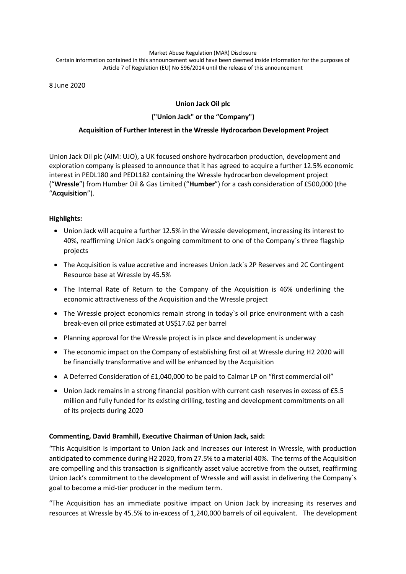#### Market Abuse Regulation (MAR) Disclosure Certain information contained in this announcement would have been deemed inside information for the purposes of Article 7 of Regulation (EU) No 596/2014 until the release of this announcement

8 June 2020

# **Union Jack Oil plc**

## **("Union Jack" or the "Company")**

## **Acquisition of Further Interest in the Wressle Hydrocarbon Development Project**

Union Jack Oil plc (AIM: UJO), a UK focused onshore hydrocarbon production, development and exploration company is pleased to announce that it has agreed to acquire a further 12.5% economic interest in PEDL180 and PEDL182 containing the Wressle hydrocarbon development project ("**Wressle**") from Humber Oil & Gas Limited ("**Humber**") for a cash consideration of £500,000 (the "**Acquisition**").

## **Highlights:**

- Union Jack will acquire a further 12.5% in the Wressle development, increasing its interest to 40%, reaffirming Union Jack's ongoing commitment to one of the Company`s three flagship projects
- The Acquisition is value accretive and increases Union Jack`s 2P Reserves and 2C Contingent Resource base at Wressle by 45.5%
- The Internal Rate of Return to the Company of the Acquisition is 46% underlining the economic attractiveness of the Acquisition and the Wressle project
- The Wressle project economics remain strong in today`s oil price environment with a cash break-even oil price estimated at US\$17.62 per barrel
- Planning approval for the Wressle project is in place and development is underway
- The economic impact on the Company of establishing first oil at Wressle during H2 2020 will be financially transformative and will be enhanced by the Acquisition
- A Deferred Consideration of £1,040,000 to be paid to Calmar LP on "first commercial oil"
- Union Jack remains in a strong financial position with current cash reserves in excess of £5.5 million and fully funded for its existing drilling, testing and development commitments on all of its projects during 2020

## **Commenting, David Bramhill, Executive Chairman of Union Jack, said:**

"This Acquisition is important to Union Jack and increases our interest in Wressle, with production anticipated to commence during H2 2020, from 27.5% to a material 40%. The terms of the Acquisition are compelling and this transaction is significantly asset value accretive from the outset, reaffirming Union Jack's commitment to the development of Wressle and will assist in delivering the Company`s goal to become a mid-tier producer in the medium term.

"The Acquisition has an immediate positive impact on Union Jack by increasing its reserves and resources at Wressle by 45.5% to in-excess of 1,240,000 barrels of oil equivalent. The development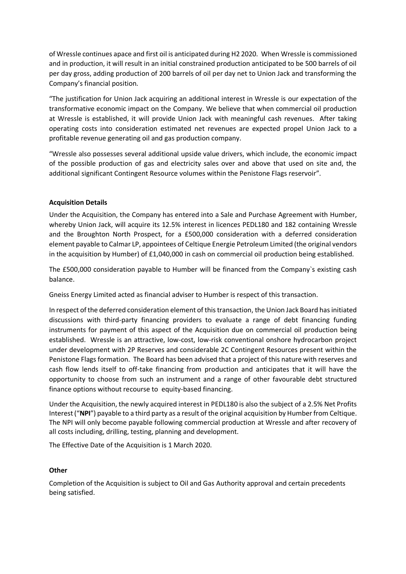of Wressle continues apace and first oil is anticipated during H2 2020. When Wressle is commissioned and in production, it will result in an initial constrained production anticipated to be 500 barrels of oil per day gross, adding production of 200 barrels of oil per day net to Union Jack and transforming the Company's financial position.

"The justification for Union Jack acquiring an additional interest in Wressle is our expectation of the transformative economic impact on the Company. We believe that when commercial oil production at Wressle is established, it will provide Union Jack with meaningful cash revenues. After taking operating costs into consideration estimated net revenues are expected propel Union Jack to a profitable revenue generating oil and gas production company.

"Wressle also possesses several additional upside value drivers, which include, the economic impact of the possible production of gas and electricity sales over and above that used on site and, the additional significant Contingent Resource volumes within the Penistone Flags reservoir".

## **Acquisition Details**

Under the Acquisition, the Company has entered into a Sale and Purchase Agreement with Humber, whereby Union Jack, will acquire its 12.5% interest in licences PEDL180 and 182 containing Wressle and the Broughton North Prospect, for a £500,000 consideration with a deferred consideration element payable to Calmar LP, appointees of Celtique Energie Petroleum Limited (the original vendors in the acquisition by Humber) of £1,040,000 in cash on commercial oil production being established.

The £500,000 consideration payable to Humber will be financed from the Company`s existing cash balance.

Gneiss Energy Limited acted as financial adviser to Humber is respect of this transaction.

In respect of the deferred consideration element of this transaction, the Union Jack Board has initiated discussions with third-party financing providers to evaluate a range of debt financing funding instruments for payment of this aspect of the Acquisition due on commercial oil production being established. Wressle is an attractive, low-cost, low-risk conventional onshore hydrocarbon project under development with 2P Reserves and considerable 2C Contingent Resources present within the Penistone Flags formation. The Board has been advised that a project of this nature with reserves and cash flow lends itself to off-take financing from production and anticipates that it will have the opportunity to choose from such an instrument and a range of other favourable debt structured finance options without recourse to equity-based financing.

Under the Acquisition, the newly acquired interest in PEDL180 is also the subject of a 2.5% Net Profits Interest ("**NPI**") payable to a third party as a result of the original acquisition by Humber from Celtique. The NPI will only become payable following commercial production at Wressle and after recovery of all costs including, drilling, testing, planning and development.

The Effective Date of the Acquisition is 1 March 2020.

#### **Other**

Completion of the Acquisition is subject to Oil and Gas Authority approval and certain precedents being satisfied.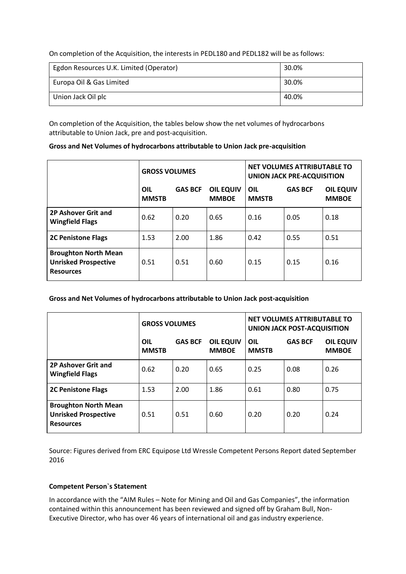On completion of the Acquisition, the interests in PEDL180 and PEDL182 will be as follows:

| Egdon Resources U.K. Limited (Operator) | 30.0% |
|-----------------------------------------|-------|
| Europa Oil & Gas Limited                | 30.0% |
| Union Jack Oil plc                      | 40.0% |

On completion of the Acquisition, the tables below show the net volumes of hydrocarbons attributable to Union Jack, pre and post-acquisition.

| Gross and Net Volumes of hydrocarbons attributable to Union Jack pre-acquisition |  |
|----------------------------------------------------------------------------------|--|
|----------------------------------------------------------------------------------|--|

|                                                                                | <b>GROSS VOLUMES</b> |                |                                  | NET VOLUMES ATTRIBUTABLE TO<br><b>UNION JACK PRE-ACQUISITION</b> |                |                                  |
|--------------------------------------------------------------------------------|----------------------|----------------|----------------------------------|------------------------------------------------------------------|----------------|----------------------------------|
|                                                                                | OIL<br><b>MMSTB</b>  | <b>GAS BCF</b> | <b>OIL EQUIV</b><br><b>MMBOE</b> | OIL<br><b>MMSTB</b>                                              | <b>GAS BCF</b> | <b>OIL EQUIV</b><br><b>MMBOE</b> |
| 2P Ashover Grit and<br><b>Wingfield Flags</b>                                  | 0.62                 | 0.20           | 0.65                             | 0.16                                                             | 0.05           | 0.18                             |
| <b>2C Penistone Flags</b>                                                      | 1.53                 | 2.00           | 1.86                             | 0.42                                                             | 0.55           | 0.51                             |
| <b>Broughton North Mean</b><br><b>Unrisked Prospective</b><br><b>Resources</b> | 0.51                 | 0.51           | 0.60                             | 0.15                                                             | 0.15           | 0.16                             |

**Gross and Net Volumes of hydrocarbons attributable to Union Jack post-acquisition**

|                                                                                | <b>GROSS VOLUMES</b> |                |                                  | NET VOLUMES ATTRIBUTABLE TO<br><b>UNION JACK POST-ACQUISITION</b> |                |                                  |
|--------------------------------------------------------------------------------|----------------------|----------------|----------------------------------|-------------------------------------------------------------------|----------------|----------------------------------|
|                                                                                | OIL<br><b>MMSTB</b>  | <b>GAS BCF</b> | <b>OIL EQUIV</b><br><b>MMBOE</b> | OIL<br><b>MMSTB</b>                                               | <b>GAS BCF</b> | <b>OIL EQUIV</b><br><b>MMBOE</b> |
| 2P Ashover Grit and<br><b>Wingfield Flags</b>                                  | 0.62                 | 0.20           | 0.65                             | 0.25                                                              | 0.08           | 0.26                             |
| <b>2C Penistone Flags</b>                                                      | 1.53                 | 2.00           | 1.86                             | 0.61                                                              | 0.80           | 0.75                             |
| <b>Broughton North Mean</b><br><b>Unrisked Prospective</b><br><b>Resources</b> | 0.51                 | 0.51           | 0.60                             | 0.20                                                              | 0.20           | 0.24                             |

Source: Figures derived from ERC Equipose Ltd Wressle Competent Persons Report dated September 2016

## **Competent Person`s Statement**

In accordance with the "AIM Rules – Note for Mining and Oil and Gas Companies", the information contained within this announcement has been reviewed and signed off by Graham Bull, Non-Executive Director, who has over 46 years of international oil and gas industry experience.